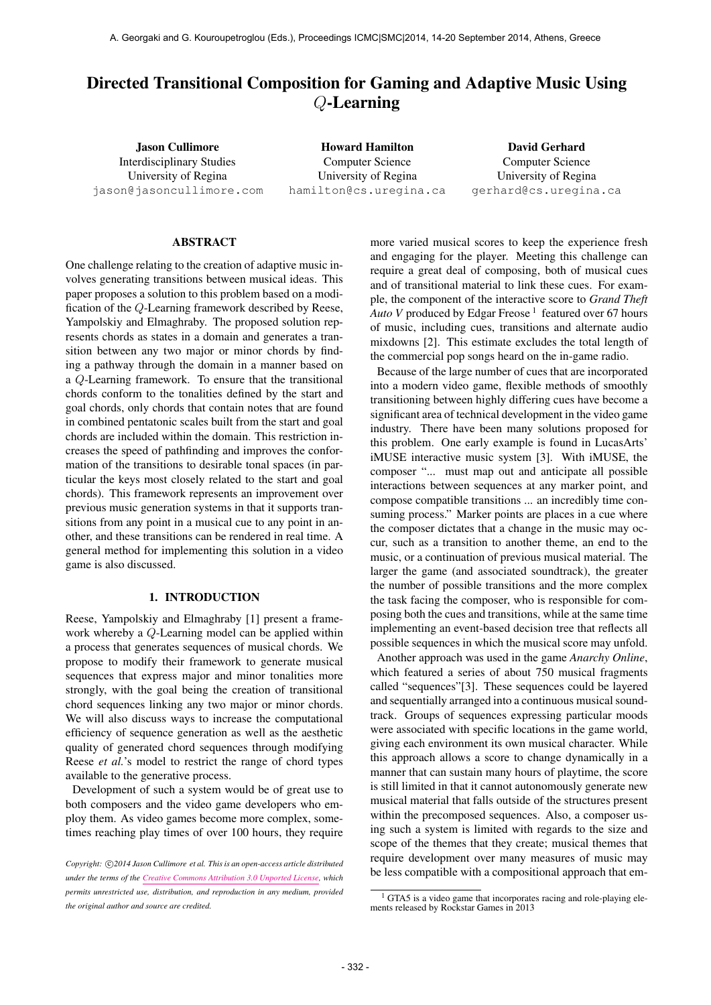# Directed Transitional Composition for Gaming and Adaptive Music Using Q-Learning

Jason Cullimore Interdisciplinary Studies University of Regina [jason@jasoncullimore.com](mailto:jason@jasoncullimore.com)

Howard Hamilton Computer Science University of Regina [hamilton@cs.uregina.ca](mailto:hamilton@cs.uregina.ca)

David Gerhard Computer Science University of Regina [gerhard@cs.uregina.ca](mailto:gerhard@cs.uregina.ca)

# ABSTRACT

One challenge relating to the creation of adaptive music involves generating transitions between musical ideas. This paper proposes a solution to this problem based on a modification of the Q-Learning framework described by Reese, Yampolskiy and Elmaghraby. The proposed solution represents chords as states in a domain and generates a transition between any two major or minor chords by finding a pathway through the domain in a manner based on a Q-Learning framework. To ensure that the transitional chords conform to the tonalities defined by the start and goal chords, only chords that contain notes that are found in combined pentatonic scales built from the start and goal chords are included within the domain. This restriction increases the speed of pathfinding and improves the conformation of the transitions to desirable tonal spaces (in particular the keys most closely related to the start and goal chords). This framework represents an improvement over previous music generation systems in that it supports transitions from any point in a musical cue to any point in another, and these transitions can be rendered in real time. A general method for implementing this solution in a video game is also discussed.

# 1. INTRODUCTION

Reese, Yampolskiy and Elmaghraby [1] present a framework whereby a Q-Learning model can be applied within a process that generates sequences of musical chords. We propose to modify their framework to generate musical sequences that express major and minor tonalities more strongly, with the goal being the creation of transitional chord sequences linking any two major or minor chords. We will also discuss ways to increase the computational efficiency of sequence generation as well as the aesthetic quality of generated chord sequences through modifying Reese *et al.*'s model to restrict the range of chord types available to the generative process.

Development of such a system would be of great use to both composers and the video game developers who employ them. As video games become more complex, sometimes reaching play times of over 100 hours, they require more varied musical scores to keep the experience fresh and engaging for the player. Meeting this challenge can require a great deal of composing, both of musical cues and of transitional material to link these cues. For example, the component of the interactive score to *Grand Theft* Auto V produced by Edgar Freose <sup>1</sup> featured over 67 hours of music, including cues, transitions and alternate audio mixdowns [2]. This estimate excludes the total length of the commercial pop songs heard on the in-game radio.

Because of the large number of cues that are incorporated into a modern video game, flexible methods of smoothly transitioning between highly differing cues have become a significant area of technical development in the video game industry. There have been many solutions proposed for this problem. One early example is found in LucasArts' iMUSE interactive music system [3]. With iMUSE, the composer "... must map out and anticipate all possible interactions between sequences at any marker point, and compose compatible transitions ... an incredibly time consuming process." Marker points are places in a cue where the composer dictates that a change in the music may occur, such as a transition to another theme, an end to the music, or a continuation of previous musical material. The larger the game (and associated soundtrack), the greater the number of possible transitions and the more complex the task facing the composer, who is responsible for composing both the cues and transitions, while at the same time implementing an event-based decision tree that reflects all possible sequences in which the musical score may unfold.

Another approach was used in the game *Anarchy Online*, which featured a series of about 750 musical fragments called "sequences"[3]. These sequences could be layered and sequentially arranged into a continuous musical soundtrack. Groups of sequences expressing particular moods were associated with specific locations in the game world, giving each environment its own musical character. While this approach allows a score to change dynamically in a manner that can sustain many hours of playtime, the score is still limited in that it cannot autonomously generate new musical material that falls outside of the structures present within the precomposed sequences. Also, a composer using such a system is limited with regards to the size and scope of the themes that they create; musical themes that require development over many measures of music may be less compatible with a compositional approach that em-

Copyright:  $\bigcirc$ 2014 Jason Cullimore et al. This is an open-access article distributed *under the terms of the [Creative Commons Attribution 3.0 Unported License,](http://creativecommons.org/licenses/by/3.0/) which permits unrestricted use, distribution, and reproduction in any medium, provided the original author and source are credited.*

 $1$  GTA5 is a video game that incorporates racing and role-playing elements released by Rockstar Games in 2013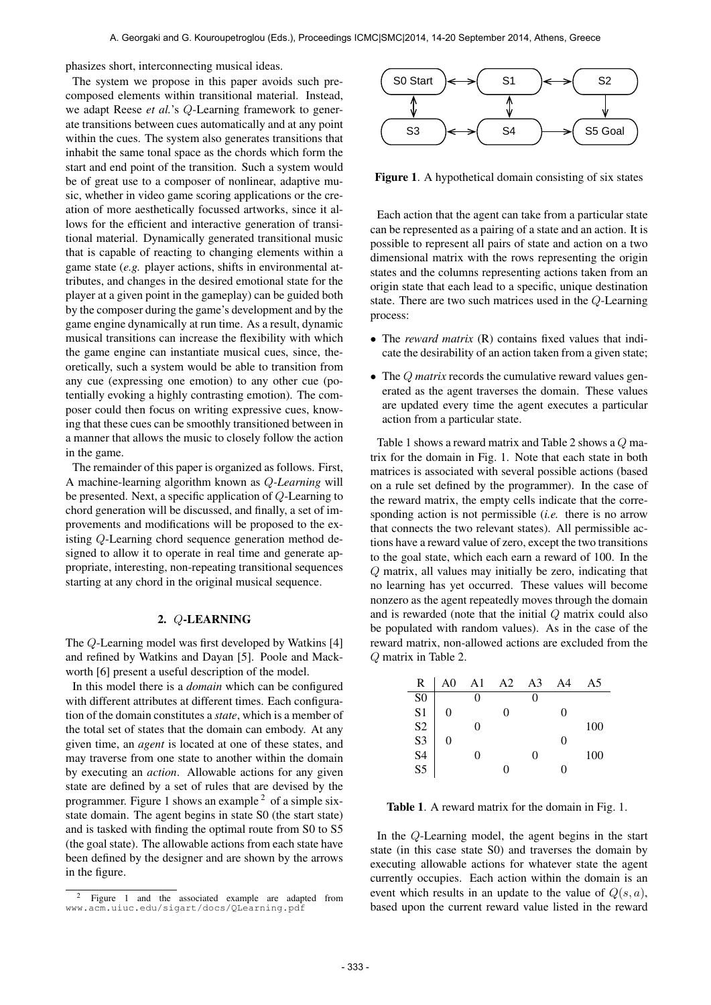phasizes short, interconnecting musical ideas.

The system we propose in this paper avoids such precomposed elements within transitional material. Instead, we adapt Reese *et al.*'s Q-Learning framework to generate transitions between cues automatically and at any point within the cues. The system also generates transitions that inhabit the same tonal space as the chords which form the start and end point of the transition. Such a system would be of great use to a composer of nonlinear, adaptive music, whether in video game scoring applications or the creation of more aesthetically focussed artworks, since it allows for the efficient and interactive generation of transitional material. Dynamically generated transitional music that is capable of reacting to changing elements within a game state (*e.g.* player actions, shifts in environmental attributes, and changes in the desired emotional state for the player at a given point in the gameplay) can be guided both by the composer during the game's development and by the game engine dynamically at run time. As a result, dynamic musical transitions can increase the flexibility with which the game engine can instantiate musical cues, since, theoretically, such a system would be able to transition from any cue (expressing one emotion) to any other cue (potentially evoking a highly contrasting emotion). The composer could then focus on writing expressive cues, knowing that these cues can be smoothly transitioned between in a manner that allows the music to closely follow the action in the game. The space response to this party acceleration of the party in the space of the space of the space of the space response to the space of the space response to the space of the space response of the space response of the sp

The remainder of this paper is organized as follows. First, A machine-learning algorithm known as Q*-Learning* will be presented. Next, a specific application of Q-Learning to chord generation will be discussed, and finally, a set of improvements and modifications will be proposed to the existing Q-Learning chord sequence generation method designed to allow it to operate in real time and generate appropriate, interesting, non-repeating transitional sequences starting at any chord in the original musical sequence.

## 2. Q-LEARNING

The Q-Learning model was first developed by Watkins [4] and refined by Watkins and Dayan [5]. Poole and Mackworth [6] present a useful description of the model.

In this model there is a *domain* which can be configured with different attributes at different times. Each configuration of the domain constitutes a *state*, which is a member of the total set of states that the domain can embody. At any given time, an *agent* is located at one of these states, and may traverse from one state to another within the domain by executing an *action*. Allowable actions for any given state are defined by a set of rules that are devised by the programmer. Figure 1 shows an example  $2$  of a simple sixstate domain. The agent begins in state S0 (the start state) and is tasked with finding the optimal route from S0 to S5 (the goal state). The allowable actions from each state have been defined by the designer and are shown by the arrows in the figure.



Figure 1. A hypothetical domain consisting of six states

Each action that the agent can take from a particular state can be represented as a pairing of a state and an action. It is possible to represent all pairs of state and action on a two dimensional matrix with the rows representing the origin states and the columns representing actions taken from an origin state that each lead to a specific, unique destination state. There are two such matrices used in the Q-Learning process:

- The *reward matrix* (R) contains fixed values that indicate the desirability of an action taken from a given state;
- The Q *matrix* records the cumulative reward values generated as the agent traverses the domain. These values are updated every time the agent executes a particular action from a particular state.

Table 1 shows a reward matrix and Table 2 shows a Q matrix for the domain in Fig. 1. Note that each state in both matrices is associated with several possible actions (based on a rule set defined by the programmer). In the case of the reward matrix, the empty cells indicate that the corresponding action is not permissible (*i.e.* there is no arrow that connects the two relevant states). All permissible actions have a reward value of zero, except the two transitions to the goal state, which each earn a reward of 100. In the Q matrix, all values may initially be zero, indicating that no learning has yet occurred. These values will become nonzero as the agent repeatedly moves through the domain and is rewarded (note that the initial  $Q$  matrix could also be populated with random values). As in the case of the reward matrix, non-allowed actions are excluded from the Q matrix in Table 2.

| R                                      | A <sub>0</sub> | A <sub>1</sub> | A2 | A <sub>3</sub> | A4 | A5  |
|----------------------------------------|----------------|----------------|----|----------------|----|-----|
|                                        |                | 0              |    |                |    |     |
|                                        | 0              |                | 0  |                |    |     |
| SO<br>S1<br>S2<br>S3<br>S3<br>S4<br>S5 |                | 0              |    |                |    | 100 |
|                                        | 0              |                |    |                | 0  |     |
|                                        |                | 0              |    |                |    | 100 |
|                                        |                |                | 0  |                |    |     |

Table 1. A reward matrix for the domain in Fig. 1.

In the Q-Learning model, the agent begins in the start state (in this case state S0) and traverses the domain by executing allowable actions for whatever state the agent currently occupies. Each action within the domain is an event which results in an update to the value of  $Q(s, a)$ , based upon the current reward value listed in the reward

<sup>&</sup>lt;sup>2</sup> Figure 1 and the associated example are adapted from www.acm.uiuc.edu/sigart/docs/QLearning.pdf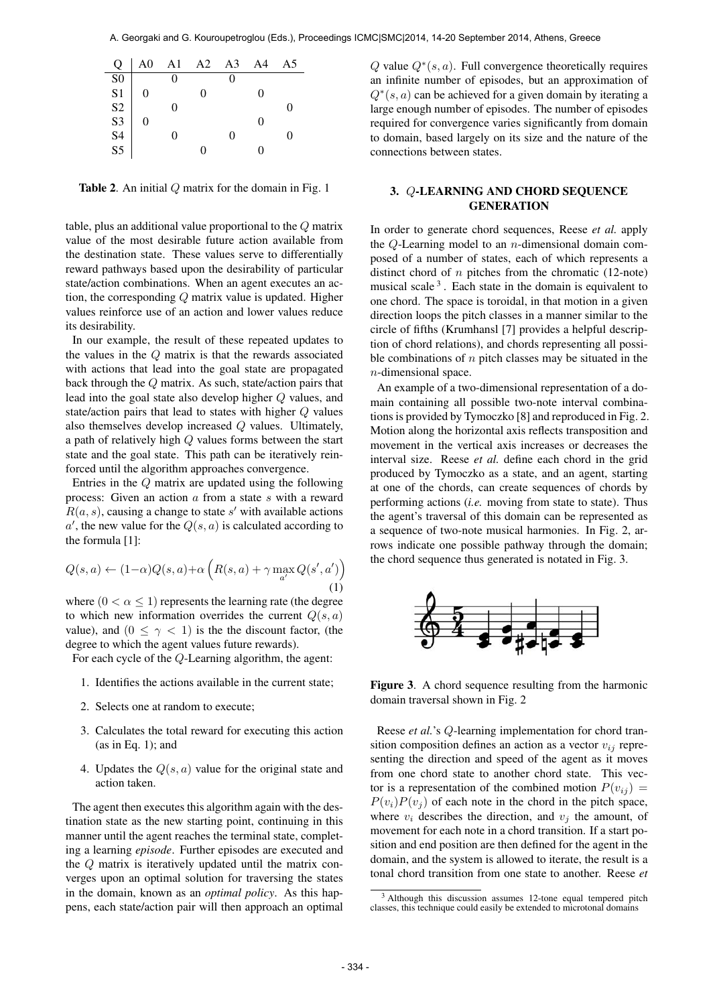| Q                                                                                 |                  | A0 A1 A2 A3 | A4 | A5 |
|-----------------------------------------------------------------------------------|------------------|-------------|----|----|
|                                                                                   |                  |             |    |    |
|                                                                                   | $\boldsymbol{0}$ | 0           |    |    |
|                                                                                   |                  |             |    |    |
| $\frac{$80}{$1}{$2$}$<br>$\frac{$1}{$3$}$<br>$\frac{$3}{$4$}$<br>$\frac{$4}{$5$}$ | 0                |             | 0  |    |
|                                                                                   |                  |             |    |    |
|                                                                                   |                  | ∩           |    |    |

**Table 2.** An initial  $Q$  matrix for the domain in Fig. 1

table, plus an additional value proportional to the Q matrix value of the most desirable future action available from the destination state. These values serve to differentially reward pathways based upon the desirability of particular state/action combinations. When an agent executes an action, the corresponding Q matrix value is updated. Higher values reinforce use of an action and lower values reduce its desirability.

In our example, the result of these repeated updates to the values in the Q matrix is that the rewards associated with actions that lead into the goal state are propagated back through the Q matrix. As such, state/action pairs that lead into the goal state also develop higher Q values, and state/action pairs that lead to states with higher Q values also themselves develop increased Q values. Ultimately, a path of relatively high Q values forms between the start state and the goal state. This path can be iteratively reinforced until the algorithm approaches convergence.

Entries in the Q matrix are updated using the following process: Given an action a from a state s with a reward  $R(a, s)$ , causing a change to state s' with available actions  $a'$ , the new value for the  $Q(s, a)$  is calculated according to the formula [1]:

$$
Q(s, a) \leftarrow (1-\alpha)Q(s, a) + \alpha \left( R(s, a) + \gamma \max_{a'} Q(s', a') \right)
$$
\n(1)

where  $(0 < \alpha < 1)$  represents the learning rate (the degree to which new information overrides the current  $Q(s, a)$ value), and  $(0 \le \gamma < 1)$  is the the discount factor, (the degree to which the agent values future rewards).

For each cycle of the Q-Learning algorithm, the agent:

- 1. Identifies the actions available in the current state;
- 2. Selects one at random to execute;
- 3. Calculates the total reward for executing this action  $(as in Eq. 1); and$
- 4. Updates the  $Q(s, a)$  value for the original state and action taken.

The agent then executes this algorithm again with the destination state as the new starting point, continuing in this manner until the agent reaches the terminal state, completing a learning *episode*. Further episodes are executed and the Q matrix is iteratively updated until the matrix converges upon an optimal solution for traversing the states in the domain, known as an *optimal policy*. As this happens, each state/action pair will then approach an optimal

Q value  $Q^*(s, a)$ . Full convergence theoretically requires an infinite number of episodes, but an approximation of  $Q<sup>*</sup>(s, a)$  can be achieved for a given domain by iterating a large enough number of episodes. The number of episodes required for convergence varies significantly from domain to domain, based largely on its size and the nature of the connections between states.

## 3. Q-LEARNING AND CHORD SEQUENCE **GENERATION**

In order to generate chord sequences, Reese *et al.* apply the  $Q$ -Learning model to an *n*-dimensional domain composed of a number of states, each of which represents a distinct chord of  $n$  pitches from the chromatic (12-note) musical scale  $3$ . Each state in the domain is equivalent to one chord. The space is toroidal, in that motion in a given direction loops the pitch classes in a manner similar to the circle of fifths (Krumhansl [7] provides a helpful description of chord relations), and chords representing all possible combinations of  $n$  pitch classes may be situated in the n-dimensional space.

An example of a two-dimensional representation of a domain containing all possible two-note interval combinations is provided by Tymoczko [8] and reproduced in Fig. 2. Motion along the horizontal axis reflects transposition and movement in the vertical axis increases or decreases the interval size. Reese *et al.* define each chord in the grid produced by Tymoczko as a state, and an agent, starting at one of the chords, can create sequences of chords by performing actions (*i.e.* moving from state to state). Thus the agent's traversal of this domain can be represented as a sequence of two-note musical harmonies. In Fig. 2, arrows indicate one possible pathway through the domain; the chord sequence thus generated is notated in Fig. 3.



Figure 3. A chord sequence resulting from the harmonic domain traversal shown in Fig. 2

Reese *et al.*'s Q-learning implementation for chord transition composition defines an action as a vector  $v_{ij}$  representing the direction and speed of the agent as it moves from one chord state to another chord state. This vector is a representation of the combined motion  $P(v_{ij}) =$  $P(v_i)P(v_j)$  of each note in the chord in the pitch space, where  $v_i$  describes the direction, and  $v_i$  the amount, of movement for each note in a chord transition. If a start position and end position are then defined for the agent in the domain, and the system is allowed to iterate, the result is a tonal chord transition from one state to another. Reese *et*

<sup>&</sup>lt;sup>3</sup> Although this discussion assumes 12-tone equal tempered pitch classes, this technique could easily be extended to microtonal domains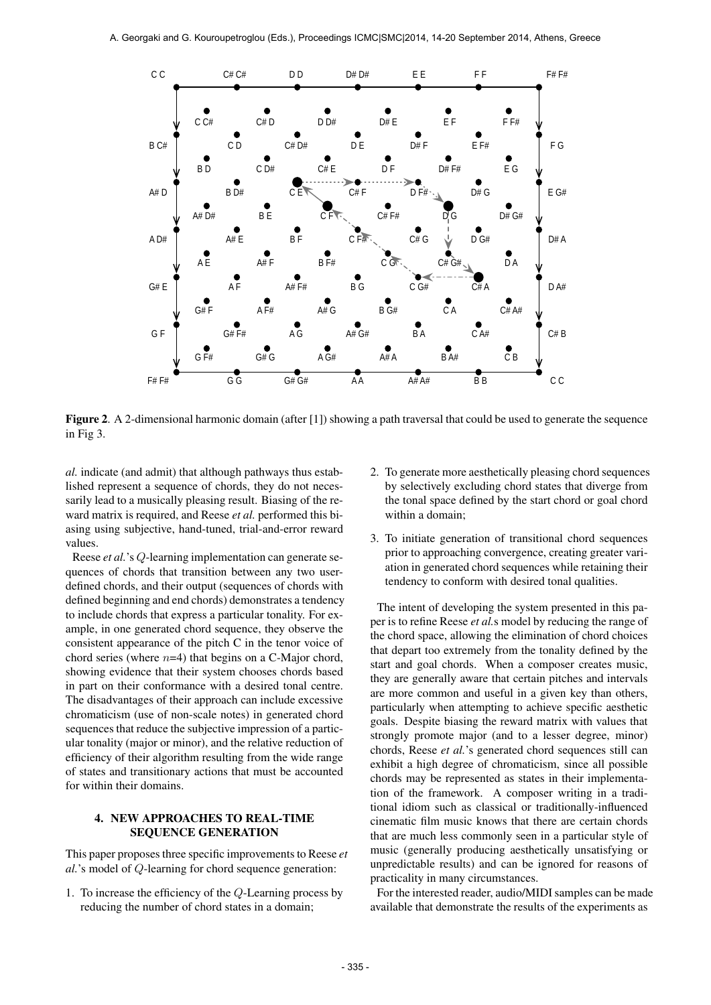

Figure 2. A 2-dimensional harmonic domain (after [1]) showing a path traversal that could be used to generate the sequence in Fig 3.

*al.* indicate (and admit) that although pathways thus established represent a sequence of chords, they do not necessarily lead to a musically pleasing result. Biasing of the reward matrix is required, and Reese *et al.* performed this biasing using subjective, hand-tuned, trial-and-error reward values.

Reese *et al.*'s Q-learning implementation can generate sequences of chords that transition between any two userdefined chords, and their output (sequences of chords with defined beginning and end chords) demonstrates a tendency to include chords that express a particular tonality. For example, in one generated chord sequence, they observe the consistent appearance of the pitch C in the tenor voice of chord series (where  $n=4$ ) that begins on a C-Major chord, showing evidence that their system chooses chords based in part on their conformance with a desired tonal centre. The disadvantages of their approach can include excessive chromaticism (use of non-scale notes) in generated chord sequences that reduce the subjective impression of a particular tonality (major or minor), and the relative reduction of efficiency of their algorithm resulting from the wide range of states and transitionary actions that must be accounted for within their domains.

# 4. NEW APPROACHES TO REAL-TIME SEQUENCE GENERATION

This paper proposes three specific improvements to Reese *et al.*'s model of Q-learning for chord sequence generation:

1. To increase the efficiency of the Q-Learning process by reducing the number of chord states in a domain;

- 2. To generate more aesthetically pleasing chord sequences by selectively excluding chord states that diverge from the tonal space defined by the start chord or goal chord within a domain;
- 3. To initiate generation of transitional chord sequences prior to approaching convergence, creating greater variation in generated chord sequences while retaining their tendency to conform with desired tonal qualities.

The intent of developing the system presented in this paper is to refine Reese *et al.*s model by reducing the range of the chord space, allowing the elimination of chord choices that depart too extremely from the tonality defined by the start and goal chords. When a composer creates music, they are generally aware that certain pitches and intervals are more common and useful in a given key than others, particularly when attempting to achieve specific aesthetic goals. Despite biasing the reward matrix with values that strongly promote major (and to a lesser degree, minor) chords, Reese *et al.*'s generated chord sequences still can exhibit a high degree of chromaticism, since all possible chords may be represented as states in their implementation of the framework. A composer writing in a traditional idiom such as classical or traditionally-influenced cinematic film music knows that there are certain chords that are much less commonly seen in a particular style of music (generally producing aesthetically unsatisfying or unpredictable results) and can be ignored for reasons of practicality in many circumstances.

For the interested reader, audio/MIDI samples can be made available that demonstrate the results of the experiments as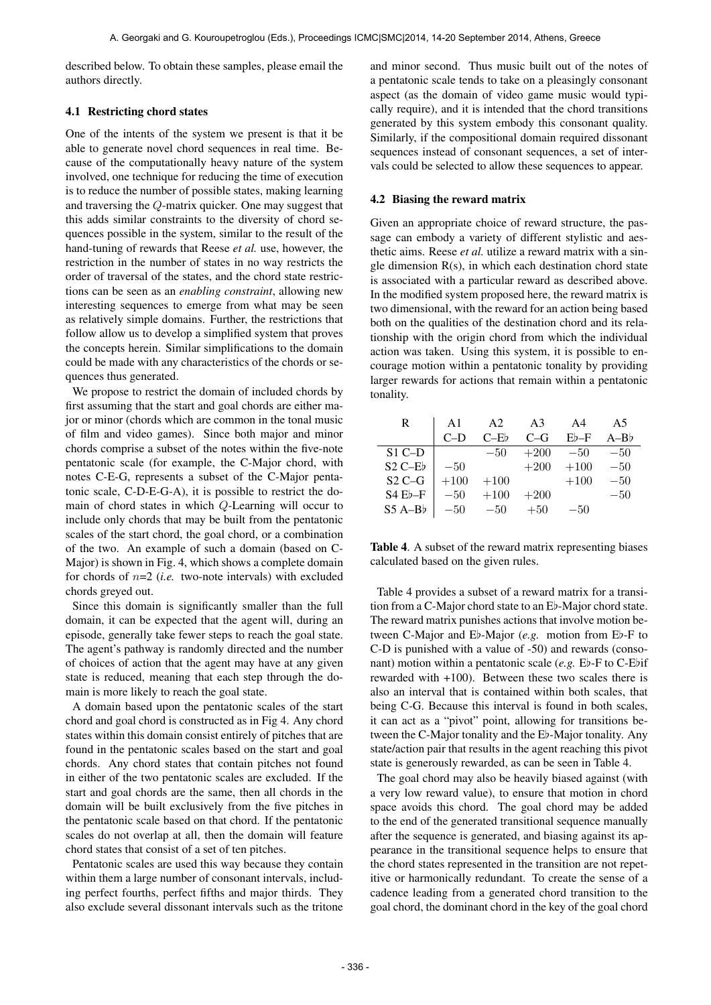described below. To obtain these samples, please email the authors directly.

### 4.1 Restricting chord states

One of the intents of the system we present is that it be able to generate novel chord sequences in real time. Because of the computationally heavy nature of the system involved, one technique for reducing the time of execution is to reduce the number of possible states, making learning and traversing the Q-matrix quicker. One may suggest that this adds similar constraints to the diversity of chord sequences possible in the system, similar to the result of the hand-tuning of rewards that Reese *et al.* use, however, the restriction in the number of states in no way restricts the order of traversal of the states, and the chord state restrictions can be seen as an *enabling constraint*, allowing new interesting sequences to emerge from what may be seen as relatively simple domains. Further, the restrictions that follow allow us to develop a simplified system that proves the concepts herein. Similar simplifications to the domain could be made with any characteristics of the chords or sequences thus generated.

We propose to restrict the domain of included chords by first assuming that the start and goal chords are either major or minor (chords which are common in the tonal music of film and video games). Since both major and minor chords comprise a subset of the notes within the five-note pentatonic scale (for example, the C-Major chord, with notes C-E-G, represents a subset of the C-Major pentatonic scale, C-D-E-G-A), it is possible to restrict the domain of chord states in which Q-Learning will occur to include only chords that may be built from the pentatonic scales of the start chord, the goal chord, or a combination of the two. An example of such a domain (based on C-Major) is shown in Fig. 4, which shows a complete domain for chords of  $n=2$  (*i.e.* two-note intervals) with excluded chords greyed out.

Since this domain is significantly smaller than the full domain, it can be expected that the agent will, during an episode, generally take fewer steps to reach the goal state. The agent's pathway is randomly directed and the number of choices of action that the agent may have at any given state is reduced, meaning that each step through the domain is more likely to reach the goal state.

A domain based upon the pentatonic scales of the start chord and goal chord is constructed as in Fig 4. Any chord states within this domain consist entirely of pitches that are found in the pentatonic scales based on the start and goal chords. Any chord states that contain pitches not found in either of the two pentatonic scales are excluded. If the start and goal chords are the same, then all chords in the domain will be built exclusively from the five pitches in the pentatonic scale based on that chord. If the pentatonic scales do not overlap at all, then the domain will feature chord states that consist of a set of ten pitches.

Pentatonic scales are used this way because they contain within them a large number of consonant intervals, including perfect fourths, perfect fifths and major thirds. They also exclude several dissonant intervals such as the tritone and minor second. Thus music built out of the notes of a pentatonic scale tends to take on a pleasingly consonant aspect (as the domain of video game music would typically require), and it is intended that the chord transitions generated by this system embody this consonant quality. Similarly, if the compositional domain required dissonant sequences instead of consonant sequences, a set of intervals could be selected to allow these sequences to appear.

#### 4.2 Biasing the reward matrix

Given an appropriate choice of reward structure, the passage can embody a variety of different stylistic and aesthetic aims. Reese *et al.* utilize a reward matrix with a single dimension  $R(s)$ , in which each destination chord state is associated with a particular reward as described above. In the modified system proposed here, the reward matrix is two dimensional, with the reward for an action being based both on the qualities of the destination chord and its relationship with the origin chord from which the individual action was taken. Using this system, it is possible to encourage motion within a pentatonic tonality by providing larger rewards for actions that remain within a pentatonic tonality.

| R         | A <sub>1</sub> | A2     | A <sup>3</sup> | A4     | A5     |
|-----------|----------------|--------|----------------|--------|--------|
|           | $C-D$          | $C-Eb$ | $C-G$          | $Eb-F$ | $A-Bb$ |
| $S1$ C-D  |                | $-50$  | $+200$         | $-50$  | $-50$  |
| $S2$ C-Eb | $-50$          |        | $+200$         | $+100$ | $-50$  |
| $S2C-G$   | $+100$         | $+100$ |                | $+100$ | $-50$  |
| $S4Eb-F$  | $-50$          | $+100$ | $+200$         |        | $-50$  |
| $S5A-Bb$  | $-50$          | $-50$  | $+50$          | -50    |        |

Table 4. A subset of the reward matrix representing biases calculated based on the given rules.

Table 4 provides a subset of a reward matrix for a transition from a C-Major chord state to an Eb-Major chord state. The reward matrix punishes actions that involve motion between C-Major and Eb-Major  $(e.g.$  motion from Eb-F to C-D is punished with a value of -50) and rewards (consonant) motion within a pentatonic scale  $(e.g. E\rightarrow F$  to C-Ebif rewarded with +100). Between these two scales there is also an interval that is contained within both scales, that being C-G. Because this interval is found in both scales, it can act as a "pivot" point, allowing for transitions between the C-Major tonality and the Eb-Major tonality. Any state/action pair that results in the agent reaching this pivot state is generously rewarded, as can be seen in Table 4.

The goal chord may also be heavily biased against (with a very low reward value), to ensure that motion in chord space avoids this chord. The goal chord may be added to the end of the generated transitional sequence manually after the sequence is generated, and biasing against its appearance in the transitional sequence helps to ensure that the chord states represented in the transition are not repetitive or harmonically redundant. To create the sense of a cadence leading from a generated chord transition to the goal chord, the dominant chord in the key of the goal chord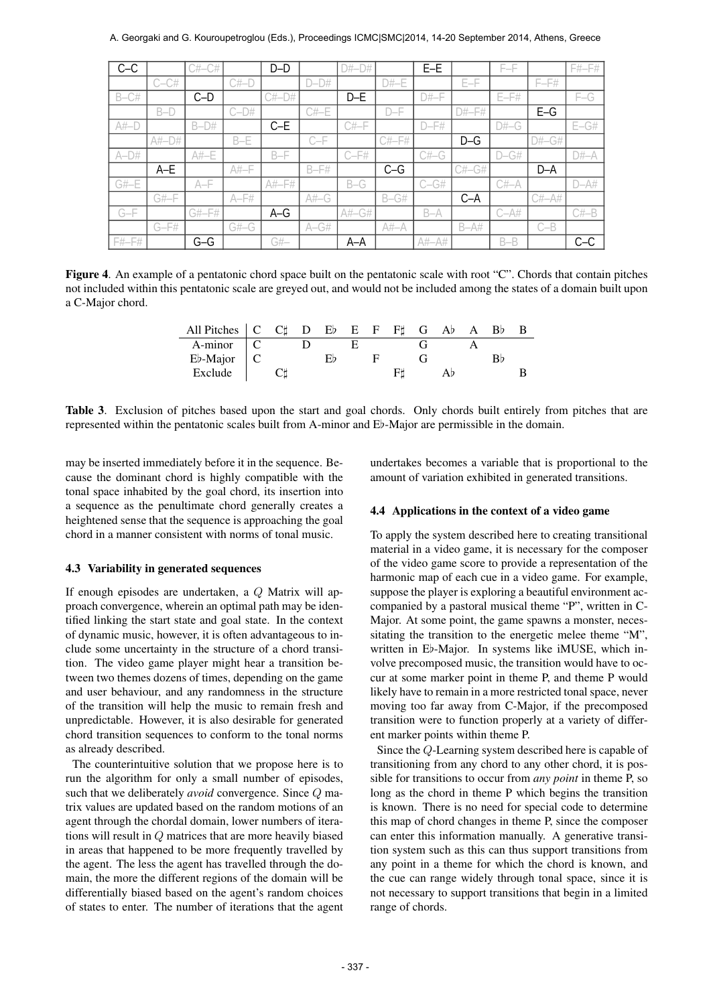| $C-C$     |           | $C#$ - $C#$ |          | $D-D$     |          | $D#$ - $D#$ |           | $E-E$    |           | $F-F$    |          | $F# - F#$ |
|-----------|-----------|-------------|----------|-----------|----------|-------------|-----------|----------|-----------|----------|----------|-----------|
|           | $C-CH$    |             | $C#$ -D  |           | $D-D#$   |             | $D#-E$    |          | $E-F$     |          | $F-F#$   |           |
| $B-C#$    |           | $C-D$       |          | $C#$ -D#  |          | $D - E$     |           | $D# - F$ |           | $E-F#$   |          | $F-G$     |
|           | $B-D$     |             | $C-D#$   |           | $C#$ -E  |             | $D-F$     |          | $D# - F#$ |          | $E-G$    |           |
| $A# - D$  |           | $B-D#$      |          | $C-E$     |          | $C# - F$    |           | $D-F#$   |           | $D#$ -G  |          | $E-GH$    |
|           | $A# - D#$ |             | $B-E$    |           | $C-F$    |             | $C# - F#$ |          | $D-G$     |          | $D#$ -G# |           |
| $A-D#$    |           | $A# - E$    |          | $B-F$     |          | $C-F#$      |           | $C#$ -G  |           | $D-GH$   |          | D#–A      |
|           | $A-E$     |             | $A# - F$ |           | $B-F#$   |             | $C-G$     |          | $C#$ -G#  |          | $D-A$    |           |
| $G# - E$  |           | $A-F$       |          | $A# - F#$ |          | $B-G$       |           | $C-GH$   |           | C#–A     |          | $D-A#$    |
|           | $G# - F$  |             | $A-F#$   |           | $A# - G$ |             | $B-GH$    |          | $C-A$     |          | C#–A#    |           |
| $G-F$     |           | $G# - F#$   |          | $A-G$     |          | A#–G#       |           | $B-A$    |           | $C - A#$ |          | C#–B      |
|           | $G-F#$    |             | G#–G     |           | $A-GH$   |             | $A#-A$    |          | $B-A#$    |          | $C-B$    |           |
| $F# - F#$ |           | $G-G$       |          | G#–       |          | $A-A$       |           | $A#-A#$  |           | $B - B$  |          | $C-C$     |

Figure 4. An example of a pentatonic chord space built on the pentatonic scale with root "C". Chords that contain pitches not included within this pentatonic scale are greyed out, and would not be included among the states of a domain built upon a C-Major chord.

| All Pitches $\begin{bmatrix} C & C \end{bmatrix}$ D Eb E F F G Ab A Bb |  |  |  |  |  |  |
|------------------------------------------------------------------------|--|--|--|--|--|--|
| A-minor                                                                |  |  |  |  |  |  |
| $Eb$ -Major $\mid$ C                                                   |  |  |  |  |  |  |
| Exclude                                                                |  |  |  |  |  |  |

Table 3. Exclusion of pitches based upon the start and goal chords. Only chords built entirely from pitches that are represented within the pentatonic scales built from A-minor and Eb-Major are permissible in the domain.

may be inserted immediately before it in the sequence. Because the dominant chord is highly compatible with the tonal space inhabited by the goal chord, its insertion into a sequence as the penultimate chord generally creates a heightened sense that the sequence is approaching the goal chord in a manner consistent with norms of tonal music.

### 4.3 Variability in generated sequences

If enough episodes are undertaken, a Q Matrix will approach convergence, wherein an optimal path may be identified linking the start state and goal state. In the context of dynamic music, however, it is often advantageous to include some uncertainty in the structure of a chord transition. The video game player might hear a transition between two themes dozens of times, depending on the game and user behaviour, and any randomness in the structure of the transition will help the music to remain fresh and unpredictable. However, it is also desirable for generated chord transition sequences to conform to the tonal norms as already described.

The counterintuitive solution that we propose here is to run the algorithm for only a small number of episodes, such that we deliberately *avoid* convergence. Since Q matrix values are updated based on the random motions of an agent through the chordal domain, lower numbers of iterations will result in Q matrices that are more heavily biased in areas that happened to be more frequently travelled by the agent. The less the agent has travelled through the domain, the more the different regions of the domain will be differentially biased based on the agent's random choices of states to enter. The number of iterations that the agent undertakes becomes a variable that is proportional to the amount of variation exhibited in generated transitions.

#### 4.4 Applications in the context of a video game

To apply the system described here to creating transitional material in a video game, it is necessary for the composer of the video game score to provide a representation of the harmonic map of each cue in a video game. For example, suppose the player is exploring a beautiful environment accompanied by a pastoral musical theme "P", written in C-Major. At some point, the game spawns a monster, necessitating the transition to the energetic melee theme "M", written in Eb-Major. In systems like  $iMUSE$ , which involve precomposed music, the transition would have to occur at some marker point in theme P, and theme P would likely have to remain in a more restricted tonal space, never moving too far away from C-Major, if the precomposed transition were to function properly at a variety of different marker points within theme P.

Since the Q-Learning system described here is capable of transitioning from any chord to any other chord, it is possible for transitions to occur from *any point* in theme P, so long as the chord in theme P which begins the transition is known. There is no need for special code to determine this map of chord changes in theme P, since the composer can enter this information manually. A generative transition system such as this can thus support transitions from any point in a theme for which the chord is known, and the cue can range widely through tonal space, since it is not necessary to support transitions that begin in a limited range of chords.